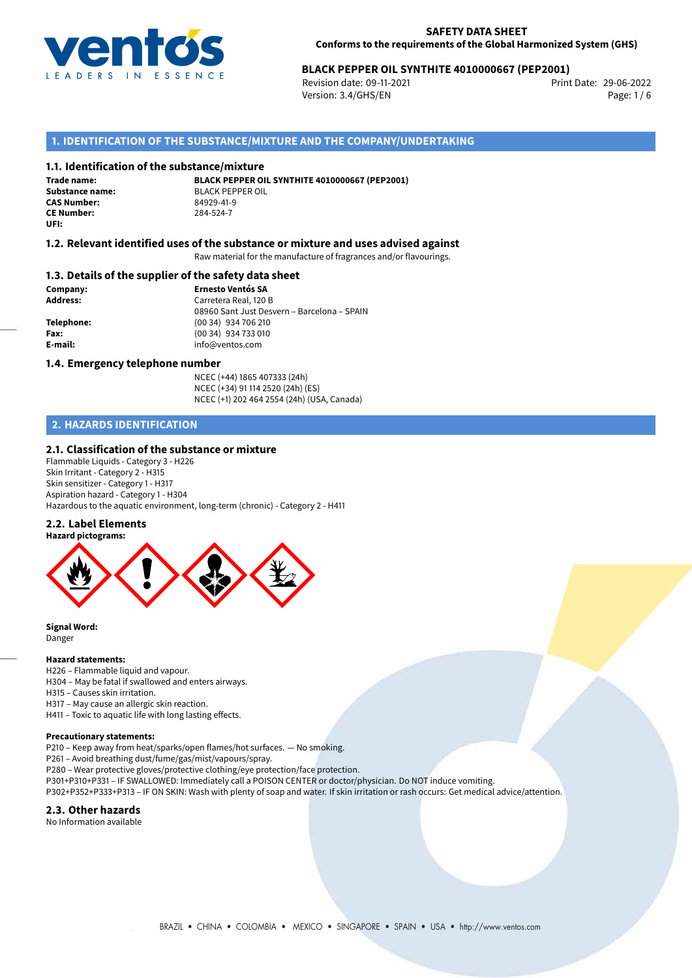

# 29-06-2022 **BLACK PEPPER OIL SYNTHITE 4010000667 (PEP2001)**

Revision date: 09-11-2021 Version: 3.4/GHS/EN Page: 1 / 6

# **1. IDENTIFICATION OF THE SUBSTANCE/MIXTURE AND THE COMPANY/UNDERTAKING**

## **1.1. Identification of the substance/mixture**

**Trade name: CAS Number: CE Number:** 284-524-7 **UFI:**

**BLACK PEPPER OIL SYNTHITE 4010000667 (PEP2001) Substance name:** BLACK PEPPER OIL<br> **CAS Number:** 84979-41-9

## **1.2. Relevant identified uses of the substance or mixture and uses advised against**

Raw material for the manufacture of fragrances and/or flavourings.

## **1.3. Details of the supplier of the safety data sheet**

**Company: Ernesto Ventós SA Address:** Carretera Real, 120 B 08960 Sant Just Desvern – Barcelona – SPAIN **Telephone:** (00 34) 934 706 210 **Fax:** (00 34) 934 733 010 **E-mail:** info@ventos.com

## **1.4. Emergency telephone number**

NCEC (+44) 1865 407333 (24h) NCEC (+34) 91 114 2520 (24h) (ES) NCEC (+1) 202 464 2554 (24h) (USA, Canada)

# **2. HAZARDS IDENTIFICATION**

## **2.1. Classification of the substance or mixture**

Flammable Liquids - Category 3 - H226 Skin Irritant - Category 2 - H315 Skin sensitizer - Category 1 - H317 Aspiration hazard - Category 1 - H304 Hazardous to the aquatic environment, long-term (chronic) - Category 2 - H411

### **2.2. Label Elements**



**Signal Word:** Danger

## **Hazard statements:**

H226 – Flammable liquid and vapour.

- H304 May be fatal if swallowed and enters airways.
- H315 Causes skin irritation.
- H317 May cause an allergic skin reaction.

H411 – Toxic to aquatic life with long lasting effects.

#### **Precautionary statements:**

P210 – Keep away from heat/sparks/open flames/hot surfaces. — No smoking.

P261 – Avoid breathing dust/fume/gas/mist/vapours/spray.

- P280 Wear protective gloves/protective clothing/eye protection/face protection.
- P301+P310+P331 IF SWALLOWED: Immediately call a POISON CENTER or doctor/physician. Do NOT induce vomiting.
- P302+P352+P333+P313 IF ON SKIN: Wash with plenty of soap and water. If skin irritation or rash occurs: Get medical advice/attention.

## **2.3. Other hazards**

No Information available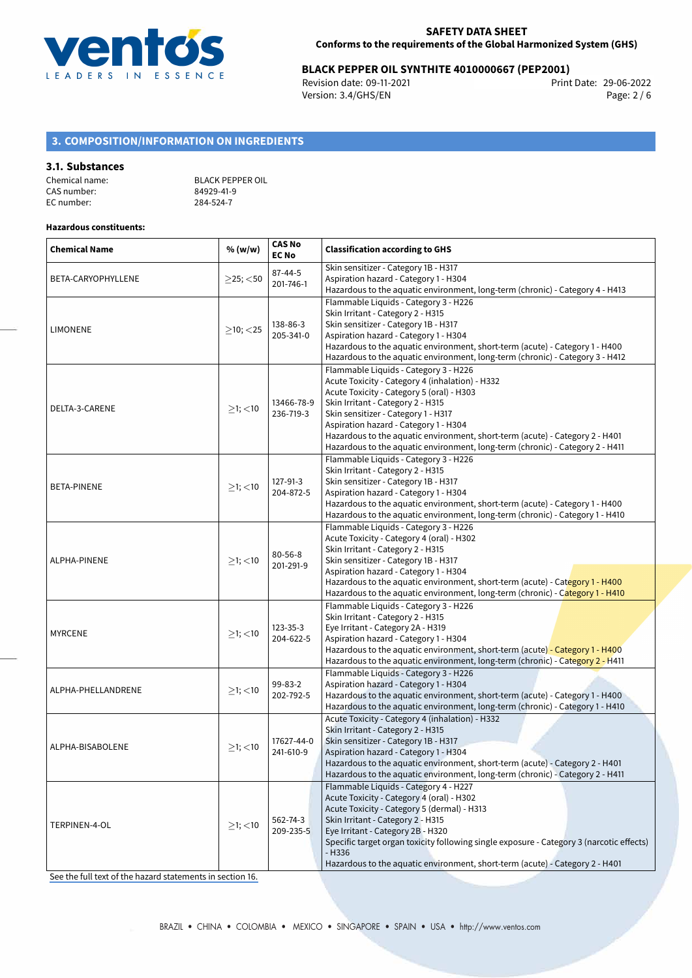

# 29-06-2022 **BLACK PEPPER OIL SYNTHITE 4010000667 (PEP2001)**

Revision date: 09-11-2021 Version: 3.4/GHS/EN Page: 2 / 6

# **3. COMPOSITION/INFORMATION ON INGREDIENTS**

## **3.1. Substances**

| Chemical name: | <b>BLACK PEPPER OIL</b> |
|----------------|-------------------------|
| CAS number:    | 84929-41-9              |
| EC number:     | 284-524-7               |

## **Hazardous constituents:**

| <b>Chemical Name</b> | % (w/w)        | <b>CAS No</b><br><b>EC No</b> | <b>Classification according to GHS</b>                                                                                                                                                                                                                                                                                                                                                                                      |  |
|----------------------|----------------|-------------------------------|-----------------------------------------------------------------------------------------------------------------------------------------------------------------------------------------------------------------------------------------------------------------------------------------------------------------------------------------------------------------------------------------------------------------------------|--|
| BETA-CARYOPHYLLENE   | $\geq$ 25; <50 | 87-44-5<br>201-746-1          | Skin sensitizer - Category 1B - H317<br>Aspiration hazard - Category 1 - H304<br>Hazardous to the aquatic environment, long-term (chronic) - Category 4 - H413                                                                                                                                                                                                                                                              |  |
| <b>LIMONENE</b>      | $\geq$ 10; <25 | 138-86-3<br>205-341-0         | Flammable Liquids - Category 3 - H226<br>Skin Irritant - Category 2 - H315<br>Skin sensitizer - Category 1B - H317<br>Aspiration hazard - Category 1 - H304<br>Hazardous to the aquatic environment, short-term (acute) - Category 1 - H400<br>Hazardous to the aquatic environment, long-term (chronic) - Category 3 - H412                                                                                                |  |
| DELTA-3-CARENE       | $≥1;$ < 10     | 13466-78-9<br>236-719-3       | Flammable Liquids - Category 3 - H226<br>Acute Toxicity - Category 4 (inhalation) - H332<br>Acute Toxicity - Category 5 (oral) - H303<br>Skin Irritant - Category 2 - H315<br>Skin sensitizer - Category 1 - H317<br>Aspiration hazard - Category 1 - H304<br>Hazardous to the aquatic environment, short-term (acute) - Category 2 - H401<br>Hazardous to the aquatic environment, long-term (chronic) - Category 2 - H411 |  |
| <b>BETA-PINENE</b>   | ≥1; < 10       | 127-91-3<br>204-872-5         | Flammable Liquids - Category 3 - H226<br>Skin Irritant - Category 2 - H315<br>Skin sensitizer - Category 1B - H317<br>Aspiration hazard - Category 1 - H304<br>Hazardous to the aquatic environment, short-term (acute) - Category 1 - H400<br>Hazardous to the aquatic environment, long-term (chronic) - Category 1 - H410                                                                                                |  |
| ALPHA-PINENE         | $>1$ ; $<$ 10  | $80 - 56 - 8$<br>201-291-9    | Flammable Liquids - Category 3 - H226<br>Acute Toxicity - Category 4 (oral) - H302<br>Skin Irritant - Category 2 - H315<br>Skin sensitizer - Category 1B - H317<br>Aspiration hazard - Category 1 - H304<br>Hazardous to the aquatic environment, short-term (acute) - Category 1 - H400<br>Hazardous to the aquatic environment, long-term (chronic) - Category 1 - H410                                                   |  |
| <b>MYRCENE</b>       | $\geq$ 1; <10  | 123-35-3<br>204-622-5         | Flammable Liquids - Category 3 - H226<br>Skin Irritant - Category 2 - H315<br>Eye Irritant - Category 2A - H319<br>Aspiration hazard - Category 1 - H304<br>Hazardous to the aquatic environment, short-term (acute) - Category 1 - H400<br>Hazardous to the aquatic environment, long-term (chronic) - Category 2 - H411                                                                                                   |  |
| ALPHA-PHELLANDRENE   | $\geq$ 1; <10  | 99-83-2<br>202-792-5          | Flammable Liquids - Category 3 - H226<br>Aspiration hazard - Category 1 - H304<br>Hazardous to the aquatic environment, short-term (acute) - Category 1 - H400<br>Hazardous to the aquatic environment, long-term (chronic) - Category 1 - H410                                                                                                                                                                             |  |
| ALPHA-BISABOLENE     | $\geq$ 1; <10  | 17627-44-0<br>241-610-9       | Acute Toxicity - Category 4 (inhalation) - H332<br>Skin Irritant - Category 2 - H315<br>Skin sensitizer - Category 1B - H317<br>Aspiration hazard - Category 1 - H304<br>Hazardous to the aquatic environment, short-term (acute) - Category 2 - H401<br>Hazardous to the aquatic environment, long-term (chronic) - Category 2 - H411                                                                                      |  |
| TERPINEN-4-OL        | $\geq$ 1; <10  | 562-74-3<br>209-235-5         | Flammable Liquids - Category 4 - H227<br>Acute Toxicity - Category 4 (oral) - H302<br>Acute Toxicity - Category 5 (dermal) - H313<br>Skin Irritant - Category 2 - H315<br>Eye Irritant - Category 2B - H320<br>Specific target organ toxicity following single exposure - Category 3 (narcotic effects)<br>$- H336$<br>Hazardous to the aquatic environment, short-term (acute) - Category 2 - H401                         |  |

[See the full text of the hazard statements in section 16.](#page-5-0)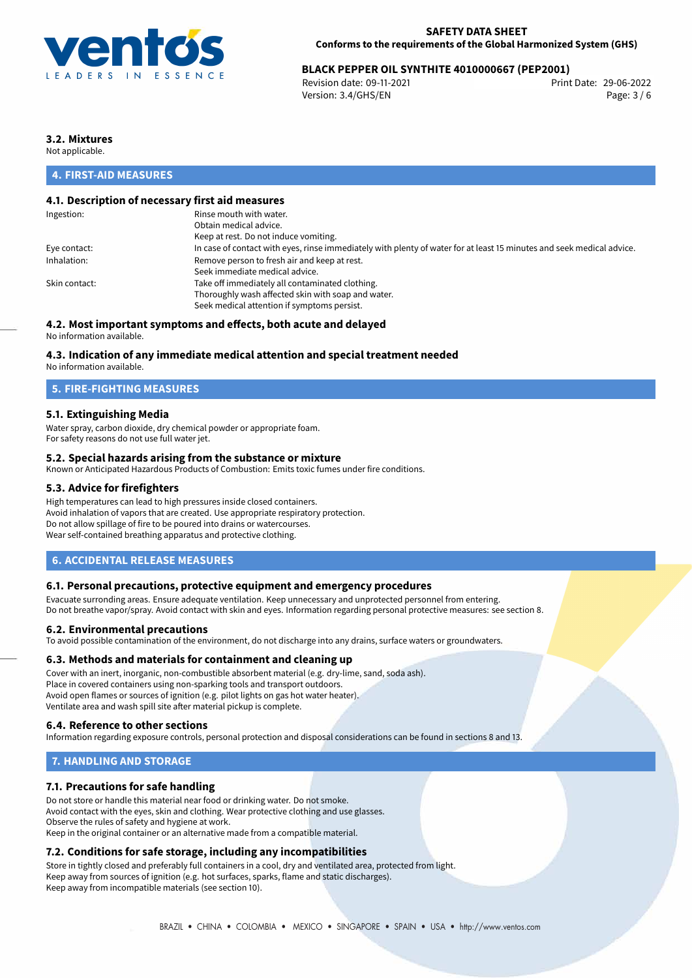

# 29-06-2022 **BLACK PEPPER OIL SYNTHITE 4010000667 (PEP2001)**

Revision date: 09-11-2021 Version: 3.4/GHS/EN Page: 3 / 6

# **3.2. Mixtures**

Not applicable.

# **4. FIRST-AID MEASURES**

## **4.1. Description of necessary first aid measures**

| Ingestion:    | Rinse mouth with water.                                                                                               |
|---------------|-----------------------------------------------------------------------------------------------------------------------|
|               | Obtain medical advice.                                                                                                |
|               | Keep at rest. Do not induce vomiting.                                                                                 |
| Eye contact:  | In case of contact with eyes, rinse immediately with plenty of water for at least 15 minutes and seek medical advice. |
| Inhalation:   | Remove person to fresh air and keep at rest.                                                                          |
|               | Seek immediate medical advice.                                                                                        |
| Skin contact: | Take off immediately all contaminated clothing.                                                                       |
|               | Thoroughly wash affected skin with soap and water.                                                                    |
|               | Seek medical attention if symptoms persist.                                                                           |
|               |                                                                                                                       |

# **4.2. Most important symptoms and effects, both acute and delayed**

No information available.

## **4.3. Indication of any immediate medical attention and special treatment needed**

No information available.

# **5. FIRE-FIGHTING MEASURES**

## **5.1. Extinguishing Media**

Water spray, carbon dioxide, dry chemical powder or appropriate foam. For safety reasons do not use full water jet.

## **5.2. Special hazards arising from the substance or mixture**

Known or Anticipated Hazardous Products of Combustion: Emits toxic fumes under fire conditions.

## **5.3. Advice for firefighters**

High temperatures can lead to high pressures inside closed containers. Avoid inhalation of vapors that are created. Use appropriate respiratory protection. Do not allow spillage of fire to be poured into drains or watercourses. Wear self-contained breathing apparatus and protective clothing.

## **6. ACCIDENTAL RELEASE MEASURES**

### **6.1. Personal precautions, protective equipment and emergency procedures**

Evacuate surronding areas. Ensure adequate ventilation. Keep unnecessary and unprotected personnel from entering. Do not breathe vapor/spray. Avoid contact with skin and eyes. Information regarding personal protective measures: see section 8.

### **6.2. Environmental precautions**

To avoid possible contamination of the environment, do not discharge into any drains, surface waters or groundwaters.

### **6.3. Methods and materials for containment and cleaning up**

Cover with an inert, inorganic, non-combustible absorbent material (e.g. dry-lime, sand, soda ash). Place in covered containers using non-sparking tools and transport outdoors. Avoid open flames or sources of ignition (e.g. pilot lights on gas hot water heater). Ventilate area and wash spill site after material pickup is complete.

### **6.4. Reference to other sections**

Information regarding exposure controls, personal protection and disposal considerations can be found in sections 8 and 13.

# **7. HANDLING AND STORAGE**

## **7.1. Precautions for safe handling**

Do not store or handle this material near food or drinking water. Do not smoke. Avoid contact with the eyes, skin and clothing. Wear protective clothing and use glasses. Observe the rules of safety and hygiene at work. Keep in the original container or an alternative made from a compatible material.

# **7.2. Conditions for safe storage, including any incompatibilities**

Store in tightly closed and preferably full containers in a cool, dry and ventilated area, protected from light. Keep away from sources of ignition (e.g. hot surfaces, sparks, flame and static discharges). Keep away from incompatible materials (see section 10).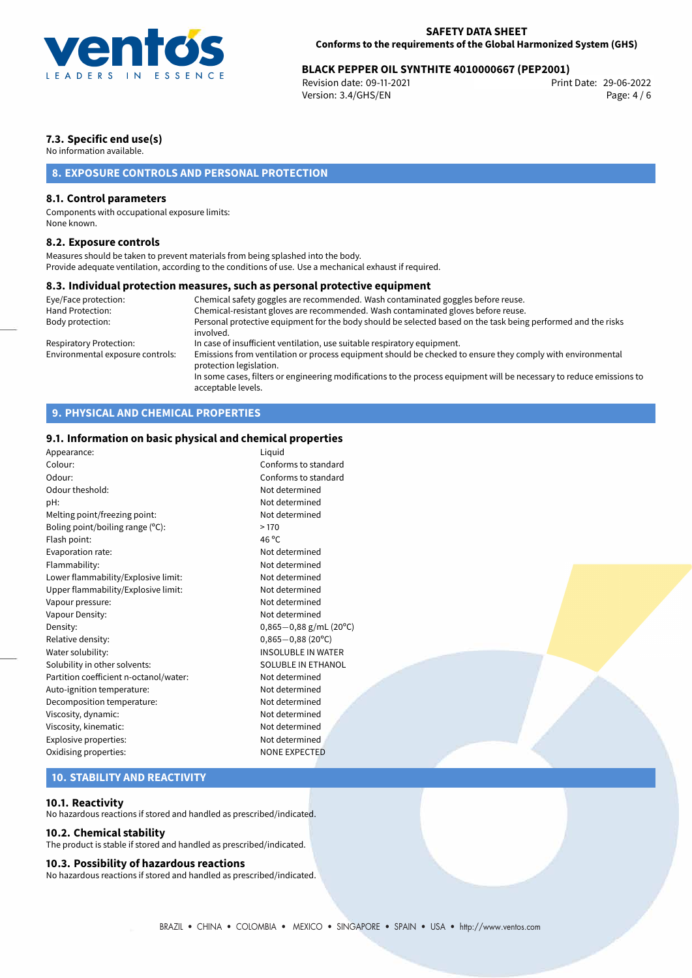

# 29-06-2022 **BLACK PEPPER OIL SYNTHITE 4010000667 (PEP2001)**

Revision date: 09-11-2021 Version: 3.4/GHS/EN Page: 4 / 6

# **7.3. Specific end use(s)**

No information available.

# **8. EXPOSURE CONTROLS AND PERSONAL PROTECTION**

## **8.1. Control parameters**

Components with occupational exposure limits: None known.

## **8.2. Exposure controls**

Measures should be taken to prevent materials from being splashed into the body. Provide adequate ventilation, according to the conditions of use. Use a mechanical exhaust if required.

## **8.3. Individual protection measures, such as personal protective equipment**

| Eye/Face protection:             | Chemical safety goggles are recommended. Wash contaminated goggles before reuse.                                                            |
|----------------------------------|---------------------------------------------------------------------------------------------------------------------------------------------|
| Hand Protection:                 | Chemical-resistant gloves are recommended. Wash contaminated gloves before reuse.                                                           |
| Body protection:                 | Personal protective equipment for the body should be selected based on the task being performed and the risks<br>involved.                  |
| Respiratory Protection:          | In case of insufficient ventilation, use suitable respiratory equipment.                                                                    |
| Environmental exposure controls: | Emissions from ventilation or process equipment should be checked to ensure they comply with environmental<br>protection legislation.       |
|                                  | In some cases, filters or engineering modifications to the process equipment will be necessary to reduce emissions to<br>acceptable levels. |

# **9. PHYSICAL AND CHEMICAL PROPERTIES**

# **9.1. Information on basic physical and chemical properties**

| Appearance:                            | Liquid                      |
|----------------------------------------|-----------------------------|
| Colour:                                | Conforms to standard        |
| Odour:                                 | Conforms to standard        |
| Odour theshold:                        | Not determined              |
| pH:                                    | Not determined              |
| Melting point/freezing point:          | Not determined              |
| Boling point/boiling range (°C):       | >170                        |
| Flash point:                           | 46 $^{\circ}$ C             |
| Evaporation rate:                      | Not determined              |
| Flammability:                          | Not determined              |
| Lower flammability/Explosive limit:    | Not determined              |
| Upper flammability/Explosive limit:    | Not determined              |
| Vapour pressure:                       | Not determined              |
| Vapour Density:                        | Not determined              |
| Density:                               | $0,865-0,88$ g/mL (20°C)    |
| Relative density:                      | $0,865 - 0,88(20^{\circ}C)$ |
| Water solubility:                      | <b>INSOLUBLE IN WATER</b>   |
| Solubility in other solvents:          | SOLUBLE IN ETHANOL          |
| Partition coefficient n-octanol/water: | Not determined              |
| Auto-ignition temperature:             | Not determined              |
| Decomposition temperature:             | Not determined              |
| Viscosity, dynamic:                    | Not determined              |
| Viscosity, kinematic:                  | Not determined              |
| Explosive properties:                  | Not determined              |
| Oxidising properties:                  | <b>NONE EXPECTED</b>        |
|                                        |                             |

# **10. STABILITY AND REACTIVITY**

## **10.1. Reactivity**

No hazardous reactions if stored and handled as prescribed/indicated.

## **10.2. Chemical stability**

The product is stable if stored and handled as prescribed/indicated.

### **10.3. Possibility of hazardous reactions**

No hazardous reactions if stored and handled as prescribed/indicated.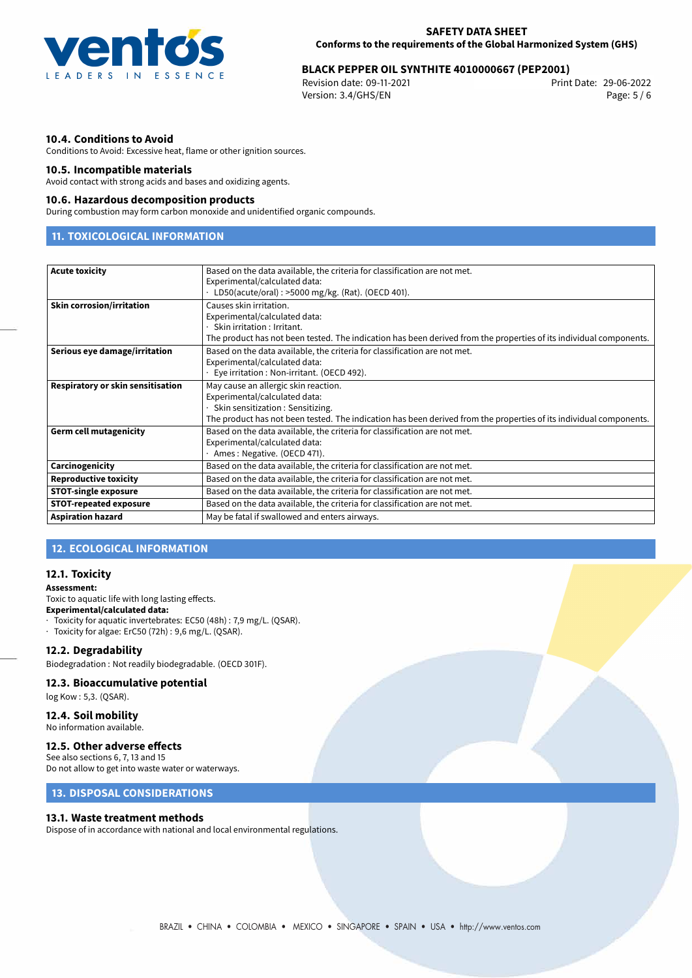

# 29-06-2022 **BLACK PEPPER OIL SYNTHITE 4010000667 (PEP2001)**

Revision date: 09-11-2021 Version: 3.4/GHS/EN Page: 5 / 6

## **10.4. Conditions to Avoid**

Conditions to Avoid: Excessive heat, flame or other ignition sources.

## **10.5. Incompatible materials**

Avoid contact with strong acids and bases and oxidizing agents.

### **10.6. Hazardous decomposition products**

During combustion may form carbon monoxide and unidentified organic compounds.

# **11. TOXICOLOGICAL INFORMATION**

| <b>Acute toxicity</b>             | Based on the data available, the criteria for classification are not met.                                          |  |  |
|-----------------------------------|--------------------------------------------------------------------------------------------------------------------|--|--|
|                                   | Experimental/calculated data:                                                                                      |  |  |
|                                   | $\cdot$ LD50(acute/oral): >5000 mg/kg. (Rat). (OECD 401).                                                          |  |  |
| <b>Skin corrosion/irritation</b>  | Causes skin irritation.                                                                                            |  |  |
|                                   | Experimental/calculated data:                                                                                      |  |  |
|                                   | Skin irritation : Irritant.                                                                                        |  |  |
|                                   | The product has not been tested. The indication has been derived from the properties of its individual components. |  |  |
| Serious eye damage/irritation     | Based on the data available, the criteria for classification are not met.                                          |  |  |
|                                   | Experimental/calculated data:                                                                                      |  |  |
|                                   | Eye irritation : Non-irritant. (OECD 492).                                                                         |  |  |
| Respiratory or skin sensitisation | May cause an allergic skin reaction.                                                                               |  |  |
|                                   | Experimental/calculated data:                                                                                      |  |  |
|                                   | Skin sensitization : Sensitizing.                                                                                  |  |  |
|                                   | The product has not been tested. The indication has been derived from the properties of its individual components. |  |  |
| <b>Germ cell mutagenicity</b>     | Based on the data available, the criteria for classification are not met.                                          |  |  |
|                                   | Experimental/calculated data:                                                                                      |  |  |
|                                   | Ames: Negative. (OECD 471).                                                                                        |  |  |
| Carcinogenicity                   | Based on the data available, the criteria for classification are not met.                                          |  |  |
| <b>Reproductive toxicity</b>      | Based on the data available, the criteria for classification are not met.                                          |  |  |
| <b>STOT-single exposure</b>       | Based on the data available, the criteria for classification are not met.                                          |  |  |
| <b>STOT-repeated exposure</b>     | Based on the data available, the criteria for classification are not met.                                          |  |  |
| <b>Aspiration hazard</b>          | May be fatal if swallowed and enters airways.                                                                      |  |  |
|                                   |                                                                                                                    |  |  |

# **12. ECOLOGICAL INFORMATION**

## **12.1. Toxicity**

#### **Assessment:**

Toxic to aquatic life with long lasting effects. **Experimental/calculated data:**

· Toxicity for aquatic invertebrates: EC50 (48h) : 7,9 mg/L. (QSAR). · Toxicity for algae: ErC50 (72h) : 9,6 mg/L. (QSAR).

### **12.2. Degradability**

Biodegradation : Not readily biodegradable. (OECD 301F).

## **12.3. Bioaccumulative potential**

log Kow : 5,3. (QSAR).

# **12.4. Soil mobility**

No information available.

# **12.5. Other adverse effects**

See also sections 6, 7, 13 and 15 Do not allow to get into waste water or waterways.

# **13. DISPOSAL CONSIDERATIONS**

## **13.1. Waste treatment methods**

Dispose of in accordance with national and local environmental regulations.